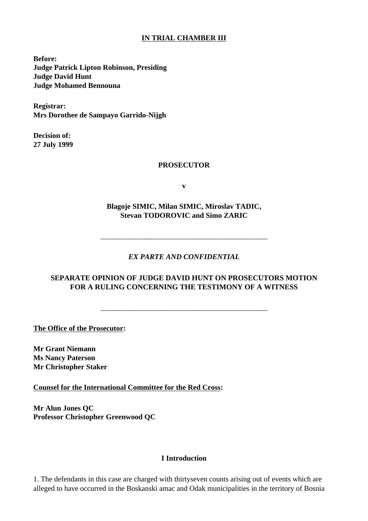# **IN TRIAL CHAMBER III**

**Before: Judge Patrick Lipton Robinson, Presiding Judge David Hunt Judge Mohamed Bennouna**

**Registrar: Mrs Dorothee de Sampayo Garrido-Nijgh**

**Decision of: 27 July 1999** 

#### **PROSECUTOR**

**v**

**Blagoje SIMIC, Milan SIMIC, Miroslav TADIC, Stevan TODOROVIC and Simo ZARIC**

## *EX PARTE AND CONFIDENTIAL*

\_\_\_\_\_\_\_\_\_\_\_\_\_\_\_\_\_\_\_\_\_\_\_\_\_\_\_\_\_\_\_\_\_\_\_\_\_\_\_\_\_\_\_\_\_

## **SEPARATE OPINION OF JUDGE DAVID HUNT ON PROSECUTOR S MOTION FOR A RULING CONCERNING THE TESTIMONY OF A WITNESS**

\_\_\_\_\_\_\_\_\_\_\_\_\_\_\_\_\_\_\_\_\_\_\_\_\_\_\_\_\_\_\_\_\_\_\_\_\_\_\_\_\_\_\_\_\_

**The Office of the Prosecutor:** 

**Mr Grant Niemann Ms Nancy Paterson Mr Christopher Staker**

**Counsel for the International Committee for the Red Cross:**

**Mr Alun Jones QC Professor Christopher Greenwood QC**

#### **I Introduction**

1. The defendants in this case are charged with thirtyseven counts arising out of events which are alleged to have occurred in the Boskanski lamac and Od ak municipalities in the territory of Bosnia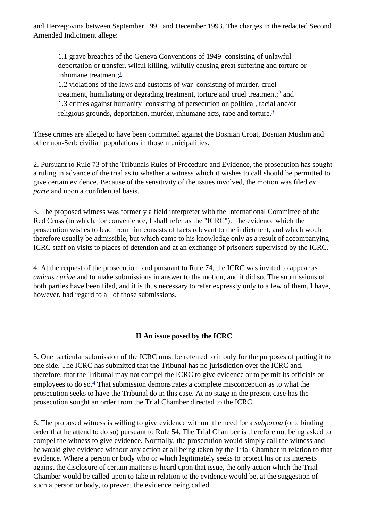and Herzegovina between September 1991 and December 1993. The charges in the redacted Second Amended Indictment allege:

1.1 grave breaches of the Geneva Conventions of 1949 consisting of unlawful deportation or transfer, wilful killing, wilfully causing great suffering and torture or inhumane treatment: $\frac{1}{2}$  $\frac{1}{2}$  $\frac{1}{2}$ 

1.2 violations of the laws and customs of war consisting of murder, cruel treatment, humiliating or degrading treatment, torture and cruel treatment;[2](#page-9-1) and 1.3 crimes against humanity consisting of persecution on political, racial and/or religious grounds, deportation, murder, inhumane acts, rape and torture.[3](#page-9-2)

These crimes are alleged to have been committed against the Bosnian Croat, Bosnian Muslim and other non-Serb civilian populations in those municipalities.

2. Pursuant to Rule 73 of the Tribunal s Rules of Procedure and Evidence, the prosecution has sought a ruling in advance of the trial as to whether a witness which it wishes to call should be permitted to give certain evidence. Because of the sensitivity of the issues involved, the motion was filed *ex parte* and upon a confidential basis.

3. The proposed witness was formerly a field interpreter with the International Committee of the Red Cross (to which, for convenience, I shall refer as the "ICRC"). The evidence which the prosecution wishes to lead from him consists of facts relevant to the indictment, and which would therefore usually be admissible, but which came to his knowledge only as a result of accompanying ICRC staff on visits to places of detention and at an exchange of prisoners supervised by the ICRC.

4. At the request of the prosecution, and pursuant to Rule 74, the ICRC was invited to appear as *amicus curiae* and to make submissions in answer to the motion, and it did so. The submissions of both parties have been filed, and it is thus necessary to refer expressly only to a few of them. I have, however, had regard to all of those submissions.

## **II An issue posed by the ICRC**

5. One particular submission of the ICRC must be referred to if only for the purposes of putting it to one side. The ICRC has submitted that the Tribunal has no jurisdiction over the ICRC and, therefore, that the Tribunal may not compel the ICRC to give evidence or to permit its officials or employees to do so.<sup>4</sup> That submission demonstrates a complete misconception as to what the prosecution seeks to have the Tribunal do in this case. At no stage in the present case has the prosecution sought an order from the Trial Chamber directed to the ICRC.

6. The proposed witness is willing to give evidence without the need for a *subpoena* (or a binding order that he attend to do so) pursuant to Rule 54. The Trial Chamber is therefore not being asked to compel the witness to give evidence. Normally, the prosecution would simply call the witness and he would give evidence without any action at all being taken by the Trial Chamber in relation to that evidence. Where a person or body who or which legitimately seeks to protect his or its interests against the disclosure of certain matters is heard upon that issue, the only action which the Trial Chamber would be called upon to take in relation to the evidence would be, at the suggestion of such a person or body, to prevent the evidence being called.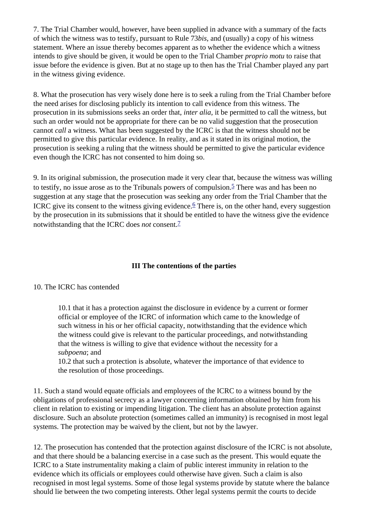7. The Trial Chamber would, however, have been supplied in advance with a summary of the facts of which the witness was to testify, pursuant to Rule 73*bis*, and (usually) a copy of his witness statement. Where an issue thereby becomes apparent as to whether the evidence which a witness intends to give should be given, it would be open to the Trial Chamber *proprio motu* to raise that issue before the evidence is given. But at no stage up to then has the Trial Chamber played any part in the witness giving evidence.

8. What the prosecution has very wisely done here is to seek a ruling from the Trial Chamber before the need arises for disclosing publicly its intention to call evidence from this witness. The prosecution in its submissions seeks an order that, *inter alia*, it be permitted to call the witness, but such an order would not be appropriate for there can be no valid suggestion that the prosecution cannot *call* a witness. What has been suggested by the ICRC is that the witness should not be permitted to give this particular evidence. In reality, and as it stated in its original motion, the prosecution is seeking a ruling that the witness should be permitted to give the particular evidence even though the ICRC has not consented to him doing so.

9. In its original submission, the prosecution made it very clear that, because the witness was willing to testify, no issue arose as to the Tribunal s powers of compulsion.<sup>5</sup> There was and has been no suggestion at any stage that the prosecution was seeking any order from the Trial Chamber that the ICRC give its consent to the witness giving evidence.<sup> $6$ </sup> There is, on the other hand, every suggestion by the prosecution in its submissions that it should be entitled to have the witness give the evidence notwithstanding that the ICRC does *not* consent[.7](#page-9-6)

## **III The contentions of the parties**

#### 10. The ICRC has contended

10.1 that it has a protection against the disclosure in evidence by a current or former official or employee of the ICRC of information which came to the knowledge of such witness in his or her official capacity, notwithstanding that the evidence which the witness could give is relevant to the particular proceedings, and notwithstanding that the witness is willing to give that evidence without the necessity for a *subpoena*; and

10.2 that such a protection is absolute, whatever the importance of that evidence to the resolution of those proceedings.

11. Such a stand would equate officials and employees of the ICRC to a witness bound by the obligations of professional secrecy as a lawyer concerning information obtained by him from his client in relation to existing or impending litigation. The client has an absolute protection against disclosure. Such an absolute protection (sometimes called an immunity) is recognised in most legal systems. The protection may be waived by the client, but not by the lawyer.

12. The prosecution has contended that the protection against disclosure of the ICRC is not absolute, and that there should be a balancing exercise in a case such as the present. This would equate the ICRC to a State instrumentality making a claim of public interest immunity in relation to the evidence which its officials or employees could otherwise have given. Such a claim is also recognised in most legal systems. Some of those legal systems provide by statute where the balance should lie between the two competing interests. Other legal systems permit the courts to decide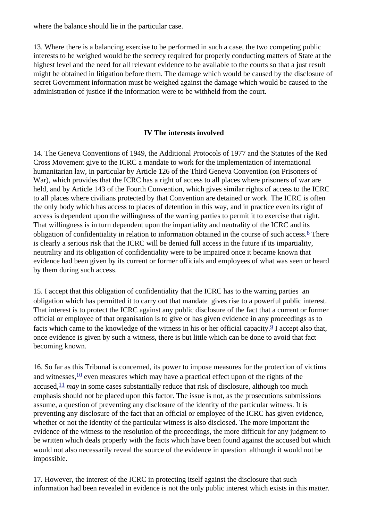where the balance should lie in the particular case.

13. Where there is a balancing exercise to be performed in such a case, the two competing public interests to be weighed would be the secrecy required for properly conducting matters of State at the highest level and the need for all relevant evidence to be available to the courts so that a just result might be obtained in litigation before them. The damage which would be caused by the disclosure of secret Government information must be weighed against the damage which would be caused to the administration of justice if the information were to be withheld from the court.

# **IV The interests involved**

14. The Geneva Conventions of 1949, the Additional Protocols of 1977 and the Statutes of the Red Cross Movement give to the ICRC a mandate to work for the implementation of international humanitarian law, in particular by Article 126 of the Third Geneva Convention (on Prisoners of War), which provides that the ICRC has a right of access to all places where prisoners of war are held, and by Article 143 of the Fourth Convention, which gives similar rights of access to the ICRC to all places where civilians protected by that Convention are detained or work. The ICRC is often the only body which has access to places of detention in this way, and in practice even its right of access is dependent upon the willingness of the warring parties to permit it to exercise that right. That willingness is in turn dependent upon the impartiality and neutrality of the ICRC and its obligation of confidentiality in relation to information obtained in the course of such access.[8](#page-9-7) There is clearly a serious risk that the ICRC will be denied full access in the future if its impartiality, neutrality and its obligation of confidentiality were to be impaired once it became known that evidence had been given by its current or former officials and employees of what was seen or heard by them during such access.

15. I accept that this obligation of confidentiality that the ICRC has to the warring parties an obligation which has permitted it to carry out that mandate gives rise to a powerful public interest. That interest is to protect the ICRC against any public disclosure of the fact that a current or former official or employee of that organisation is to give or has given evidence in any proceedings as to facts which came to the knowledge of the witness in his or her official capacity. $\frac{9}{2}$ I accept also that, once evidence is given by such a witness, there is but little which can be done to avoid that fact becoming known.

16. So far as this Tribunal is concerned, its power to impose measures for the protection of victims and witnesses,  $\frac{10}{10}$  even measures which may have a practical effect upon of the rights of the accused,  $\frac{11}{1}$  $\frac{11}{1}$  $\frac{11}{1}$  *may* in some cases substantially reduce that risk of disclosure, although too much emphasis should not be placed upon this factor. The issue is not, as the prosecution s submissions assume, a question of preventing any disclosure of the identity of the particular witness. It is preventing any disclosure of the fact that an official or employee of the ICRC has given evidence, whether or not the identity of the particular witness is also disclosed. The more important the evidence of the witness to the resolution of the proceedings, the more difficult for any judgment to be written which deals properly with the facts which have been found against the accused but which would not also necessarily reveal the source of the evidence in question although it would not be impossible.

17. However, the interest of the ICRC in protecting itself against the disclosure that such information had been revealed in evidence is not the only public interest which exists in this matter.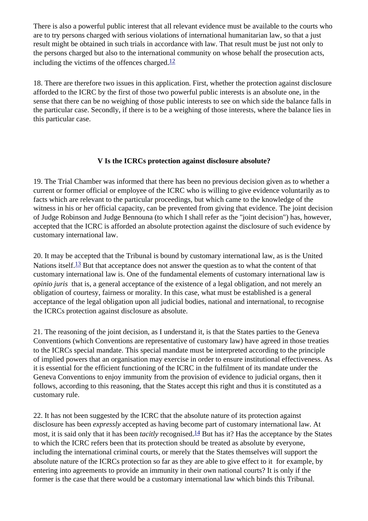There is also a powerful public interest that all relevant evidence must be available to the courts who are to try persons charged with serious violations of international humanitarian law, so that a just result might be obtained in such trials in accordance with law. That result must be just not only to the persons charged but also to the international community on whose behalf the prosecution acts, including the victims of the offences charged. $\frac{12}{12}$  $\frac{12}{12}$  $\frac{12}{12}$ 

18. There are therefore two issues in this application. First, whether the protection against disclosure afforded to the ICRC by the first of those two powerful public interests is an absolute one, in the sense that there can be no weighing of those public interests to see on which side the balance falls in the particular case. Secondly, if there is to be a weighing of those interests, where the balance lies in this particular case.

## **V Is the ICRC s protection against disclosure absolute?**

19. The Trial Chamber was informed that there has been no previous decision given as to whether a current or former official or employee of the ICRC who is willing to give evidence voluntarily as to facts which are relevant to the particular proceedings, but which came to the knowledge of the witness in his or her official capacity, can be prevented from giving that evidence. The joint decision of Judge Robinson and Judge Bennouna (to which I shall refer as the "joint decision") has, however, accepted that the ICRC is afforded an absolute protection against the disclosure of such evidence by customary international law.

20. It may be accepted that the Tribunal is bound by customary international law, as is the United Nations itself.<sup>13</sup> But that acceptance does not answer the question as to what the content of that customary international law is. One of the fundamental elements of customary international law is *opinio juris* that is, a general acceptance of the existence of a legal obligation, and not merely an obligation of courtesy, fairness or morality. In this case, what must be established is a general acceptance of the legal obligation upon all judicial bodies, national and international, to recognise the ICRC s protection against disclosure as absolute.

21. The reasoning of the joint decision, as I understand it, is that the States parties to the Geneva Conventions (which Conventions are representative of customary law) have agreed in those treaties to the ICRC s special mandate. This special mandate must be interpreted according to the principle of implied powers that an organisation may exercise in order to ensure institutional effectiveness. As it is essential for the efficient functioning of the ICRC in the fulfilment of its mandate under the Geneva Conventions to enjoy immunity from the provision of evidence to judicial organs, then it follows, according to this reasoning, that the States accept this right and thus it is constituted as a customary rule.

22. It has not been suggested by the ICRC that the absolute nature of its protection against disclosure has been *expressly* accepted as having become part of customary international law. At most, it is said only that it has been *tacitly* recognised.[14](#page-9-13) But has it? Has the acceptance by the States to which the ICRC refers been that its protection should be treated as absolute by everyone, including the international criminal courts, or merely that the States themselves will support the absolute nature of the ICRC s protection so far as they are able to give effect to it for example, by entering into agreements to provide an immunity in their own national courts? It is only if the former is the case that there would be a customary international law which binds this Tribunal.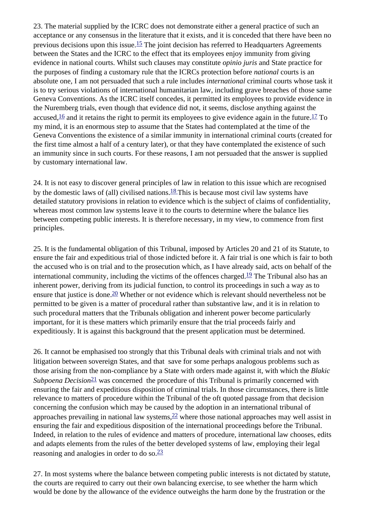23. The material supplied by the ICRC does not demonstrate either a general practice of such an acceptance or any consensus in the literature that it exists, and it is conceded that there have been no previous decisions upon this issue.<sup>15</sup> The joint decision has referred to Headquarters Agreements between the States and the ICRC to the effect that its employees enjoy immunity from giving evidence in national courts. Whilst such clauses may constitute *opinio juris* and State practice for the purposes of finding a customary rule that the ICRC s protection before *national* courts is an absolute one, I am not persuaded that such a rule includes *international* criminal courts whose task it is to try serious violations of international humanitarian law, including grave breaches of those same Geneva Conventions. As the ICRC itself concedes, it permitted its employees to provide evidence in the Nuremberg trials, even though that evidence did not, it seems, disclose anything against the accused,  $\frac{16}{12}$  and it retains the right to permit its employees to give evidence again in the future.  $\frac{17}{12}$  $\frac{17}{12}$  $\frac{17}{12}$  To my mind, it is an enormous step to assume that the States had contemplated at the time of the Geneva Conventions the existence of a similar immunity in international criminal courts (created for the first time almost a half of a century later), or that they have contemplated the existence of such an immunity since in such courts. For these reasons, I am not persuaded that the answer is supplied by customary international law.

24. It is not easy to discover general principles of law in relation to this issue which are recognised by the domestic laws of (all) civilised nations.<sup>18</sup> This is because most civil law systems have detailed statutory provisions in relation to evidence which is the subject of claims of confidentiality, whereas most common law systems leave it to the courts to determine where the balance lies between competing public interests. It is therefore necessary, in my view, to commence from first principles.

25. It is the fundamental obligation of this Tribunal, imposed by Articles 20 and 21 of its Statute, to ensure the fair and expeditious trial of those indicted before it. A fair trial is one which is fair to both the accused who is on trial and to the prosecution which, as I have already said, acts on behalf of the international community, including the victims of the offences charged.<sup>19</sup> The Tribunal also has an inherent power, deriving from its judicial function, to control its proceedings in such a way as to ensure that justice is done.  $\frac{20}{2}$  Whether or not evidence which is relevant should nevertheless not be permitted to be given is a matter of procedural rather than substantive law, and it is in relation to such procedural matters that the Tribunal s obligation and inherent power become particularly important, for it is these matters which primarily ensure that the trial proceeds fairly and expeditiously. It is against this background that the present application must be determined.

26. It cannot be emphasised too strongly that this Tribunal deals with criminal trials and not with litigation between sovereign States, and that save for some perhaps analogous problems such as those arising from the non-compliance by a State with orders made against it, with which the *Blakic Subpoena Decision*<sup>21</sup> was concerned the procedure of this Tribunal is primarily concerned with ensuring the fair and expeditious disposition of criminal trials. In those circumstances, there is little relevance to matters of procedure within the Tribunal of the oft quoted passage from that decision concerning the confusion which may be caused by the adoption in an international tribunal of approaches prevailing in national law systems,  $\frac{22}{3}$  where those national approaches may well assist in ensuring the fair and expeditious disposition of the international proceedings before the Tribunal. Indeed, in relation to the rules of evidence and matters of procedure, international law chooses, edits and adapts elements from the rules of the better developed systems of law, employing their legal reasoning and analogies in order to do so.[23](#page-9-21)

27. In most systems where the balance between competing public interests is not dictated by statute, the courts are required to carry out their own balancing exercise, to see whether the harm which would be done by the allowance of the evidence outweighs the harm done by the frustration or the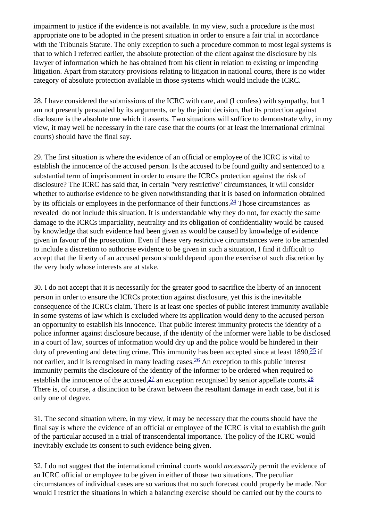impairment to justice if the evidence is not available. In my view, such a procedure is the most appropriate one to be adopted in the present situation in order to ensure a fair trial in accordance with the Tribunal s Statute. The only exception to such a procedure common to most legal systems is that to which I referred earlier, the absolute protection of the client against the disclosure by his lawyer of information which he has obtained from his client in relation to existing or impending litigation. Apart from statutory provisions relating to litigation in national courts, there is no wider category of absolute protection available in those systems which would include the ICRC.

28. I have considered the submissions of the ICRC with care, and (I confess) with sympathy, but I am not presently persuaded by its arguments, or by the joint decision, that its protection against disclosure is the absolute one which it asserts. Two situations will suffice to demonstrate why, in my view, it may well be necessary in the rare case that the courts (or at least the international criminal courts) should have the final say.

29. The first situation is where the evidence of an official or employee of the ICRC is vital to establish the innocence of the accused person. Is the accused to be found guilty and sentenced to a substantial term of imprisonment in order to ensure the ICRC s protection against the risk of disclosure? The ICRC has said that, in certain "very restrictive" circumstances, it will consider whether to authorise evidence to be given notwithstanding that it is based on information obtained by its officials or employees in the performance of their functions.<sup>24</sup> Those circumstances as revealed do not include this situation. It is understandable why they do not, for exactly the same damage to the ICRC s impartiality, neutrality and its obligation of confidentiality would be caused by knowledge that such evidence had been given as would be caused by knowledge of evidence given in favour of the prosecution. Even if these very restrictive circumstances were to be amended to include a discretion to authorise evidence to be given in such a situation, I find it difficult to accept that the liberty of an accused person should depend upon the exercise of such discretion by the very body whose interests are at stake.

30. I do not accept that it is necessarily for the greater good to sacrifice the liberty of an innocent person in order to ensure the ICRC s protection against disclosure, yet this is the inevitable consequence of the ICRC s claim. There is at least one species of public interest immunity available in some systems of law which is excluded where its application would deny to the accused person an opportunity to establish his innocence. That public interest immunity protects the identity of a police informer against disclosure because, if the identity of the informer were liable to be disclosed in a court of law, sources of information would dry up and the police would be hindered in their duty of preventing and detecting crime. This immunity has been accepted since at least  $1890$ ,  $\frac{25}{1}$  if not earlier, and it is recognised in many leading cases.<sup>[26](#page-9-24)</sup> An exception to this public interest immunity permits the disclosure of the identity of the informer to be ordered when required to establish the innocence of the accused,  $\frac{27}{2}$  an exception recognised by senior appellate courts.  $\frac{28}{2}$ There is, of course, a distinction to be drawn between the resultant damage in each case, but it is only one of degree.

31. The second situation where, in my view, it may be necessary that the courts should have the final say is where the evidence of an official or employee of the ICRC is vital to establish the guilt of the particular accused in a trial of transcendental importance. The policy of the ICRC would inevitably exclude its consent to such evidence being given.

32. I do not suggest that the international criminal courts would *necessarily* permit the evidence of an ICRC official or employee to be given in either of those two situations. The peculiar circumstances of individual cases are so various that no such forecast could properly be made. Nor would I restrict the situations in which a balancing exercise should be carried out by the courts to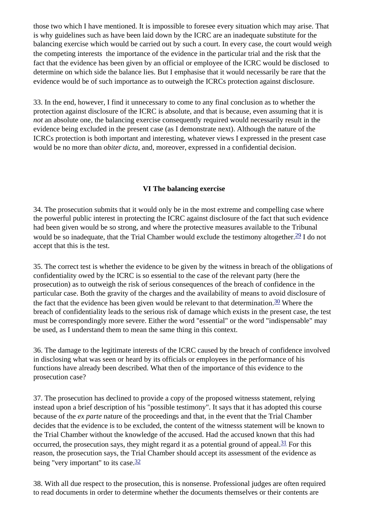those two which I have mentioned. It is impossible to foresee every situation which may arise. That is why guidelines such as have been laid down by the ICRC are an inadequate substitute for the balancing exercise which would be carried out by such a court. In every case, the court would weigh the competing interests the importance of the evidence in the particular trial and the risk that the fact that the evidence has been given by an official or employee of the ICRC would be disclosed to determine on which side the balance lies. But I emphasise that it would necessarily be rare that the evidence would be of such importance as to outweigh the ICRC s protection against disclosure.

33. In the end, however, I find it unnecessary to come to any final conclusion as to whether the protection against disclosure of the ICRC is absolute, and that is because, even assuming that it is *not* an absolute one, the balancing exercise consequently required would necessarily result in the evidence being excluded in the present case (as I demonstrate next). Although the nature of the ICRC s protection is both important and interesting, whatever views I expressed in the present case would be no more than *obiter dicta*, and, moreover, expressed in a confidential decision.

## **VI The balancing exercise**

34. The prosecution submits that it would only be in the most extreme and compelling case where the powerful public interest in protecting the ICRC against disclosure of the fact that such evidence had been given would be so strong, and where the protective measures available to the Tribunal would be so inadequate, that the Trial Chamber would exclude the testimony altogether.<sup>29</sup> I do not accept that this is the test.

35. The correct test is whether the evidence to be given by the witness in breach of the obligations of confidentiality owed by the ICRC is so essential to the case of the relevant party (here the prosecution) as to outweigh the risk of serious consequences of the breach of confidence in the particular case. Both the gravity of the charges and the availability of means to avoid disclosure of the fact that the evidence has been given would be relevant to that determination.<sup>30</sup> Where the breach of confidentiality leads to the serious risk of damage which exists in the present case, the test must be correspondingly more severe. Either the word "essential" or the word "indispensable" may be used, as I understand them to mean the same thing in this context.

36. The damage to the legitimate interests of the ICRC caused by the breach of confidence involved in disclosing what was seen or heard by its officials or employees in the performance of his functions have already been described. What then of the importance of this evidence to the prosecution case?

37. The prosecution has declined to provide a copy of the proposed witness s statement, relying instead upon a brief description of his "possible testimony". It says that it has adopted this course because of the *ex parte* nature of the proceedings and that, in the event that the Trial Chamber decides that the evidence is to be excluded, the content of the witness s statement will be known to the Trial Chamber without the knowledge of the accused. Had the accused known that this had occurred, the prosecution says, they might regard it as a potential ground of appeal. $31$  For this reason, the prosecution says, the Trial Chamber should accept its assessment of the evidence as being "very important" to its case.<sup>[32](#page-10-5)</sup>

38. With all due respect to the prosecution, this is nonsense. Professional judges are often required to read documents in order to determine whether the documents themselves or their contents are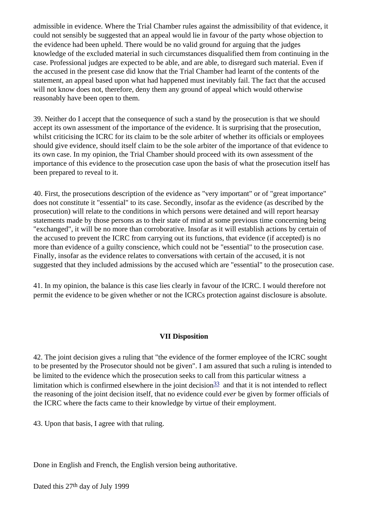admissible in evidence. Where the Trial Chamber rules against the admissibility of that evidence, it could not sensibly be suggested that an appeal would lie in favour of the party whose objection to the evidence had been upheld. There would be no valid ground for arguing that the judges knowledge of the excluded material in such circumstances disqualified them from continuing in the case. Professional judges are expected to be able, and are able, to disregard such material. Even if the accused in the present case did know that the Trial Chamber had learnt of the contents of the statement, an appeal based upon what had happened must inevitably fail. The fact that the accused will not know does not, therefore, deny them any ground of appeal which would otherwise reasonably have been open to them.

39. Neither do I accept that the consequence of such a stand by the prosecution is that we should accept its own assessment of the importance of the evidence. It is surprising that the prosecution, whilst criticising the ICRC for its claim to be the sole arbiter of whether its officials or employees should give evidence, should itself claim to be the sole arbiter of the importance of that evidence to its own case. In my opinion, the Trial Chamber should proceed with its own assessment of the importance of this evidence to the prosecution case upon the basis of what the prosecution itself has been prepared to reveal to it.

40. First, the prosecution s description of the evidence as "very important" or of "great importance" does not constitute it "essential" to its case. Secondly, insofar as the evidence (as described by the prosecution) will relate to the conditions in which persons were detained and will report hearsay statements made by those persons as to their state of mind at some previous time concerning being "exchanged", it will be no more than corroborative. Insofar as it will establish actions by certain of the accused to prevent the ICRC from carrying out its functions, that evidence (if accepted) is no more than evidence of a guilty conscience, which could not be "essential" to the prosecution case. Finally, insofar as the evidence relates to conversations with certain of the accused, it is not suggested that they included admissions by the accused which are "essential" to the prosecution case.

41. In my opinion, the balance is this case lies clearly in favour of the ICRC. I would therefore not permit the evidence to be given whether or not the ICRC s protection against disclosure is absolute.

## **VII Disposition**

42. The joint decision gives a ruling that "the evidence of the former employee of the ICRC sought to be presented by the Prosecutor should not be given". I am assured that such a ruling is intended to be limited to the evidence which the prosecution seeks to call from this particular witness a limitation which is confirmed elsewhere in the joint decision  $\frac{33}{2}$  and that it is not intended to reflect the reasoning of the joint decision itself, that no evidence could *ever* be given by former officials of the ICRC where the facts came to their knowledge by virtue of their employment.

43. Upon that basis, I agree with that ruling.

Done in English and French, the English version being authoritative.

Dated this 27<sup>th</sup> day of July 1999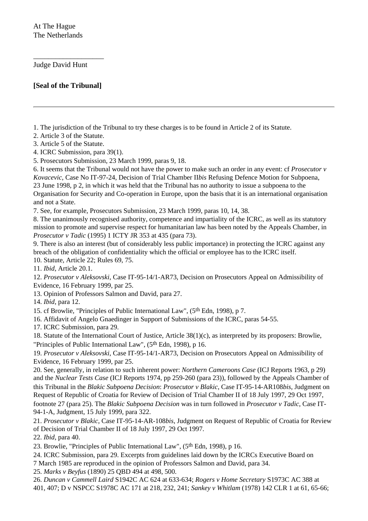Judge David Hunt

**[Seal of the Tribunal]**

\_\_\_\_\_\_\_\_\_\_\_\_\_\_\_\_\_\_\_

<span id="page-9-0"></span>1. The jurisdiction of the Tribunal to try these charges is to be found in Article 2 of its Statute.

<span id="page-9-1"></span>2. Article 3 of the Statute.

<span id="page-9-2"></span>3. Article 5 of the Statute.

<span id="page-9-3"></span>4. ICRC Submission, para 39(1).

<span id="page-9-4"></span>5. Prosecutor s Submission, 23 March 1999, paras 9, 18.

<span id="page-9-5"></span>6. It seems that the Tribunal would not have the power to make such an order in any event: cf *Prosecutor v Kovacevic*, Case No IT-97-24, Decision of Trial Chamber II*bis* Refusing Defence Motion for Subpoena,

23 June 1998, p 2, in which it was held that the Tribunal has no authority to issue a subpoena to the Organisation for Security and Co-operation in Europe, upon the basis that it is an international organisation and not a State.

<span id="page-9-6"></span>7. See, for example, Prosecutor s Submission, 23 March 1999, paras 10, 14, 38.

<span id="page-9-7"></span>8. The unanimously recognised authority, competence and impartiality of the ICRC, as well as its statutory mission to promote and supervise respect for humanitarian law has been noted by the Appeals Chamber, in *Prosecutor v Tadic* (1995) 1 ICTY JR 353 at 435 (para 73).

<span id="page-9-8"></span>9. There is also an interest (but of considerably less public importance) in protecting the ICRC against any breach of the obligation of confidentiality which the official or employee has to the ICRC itself.

<span id="page-9-9"></span>10. Statute, Article 22; Rules 69, 75.

<span id="page-9-10"></span>11. *Ibid*, Article 20.1.

<span id="page-9-11"></span>12. *Prosecutor v Aleksovski*, Case IT-95-14/1-AR73, Decision on Prosecutor s Appeal on Admissibility of Evidence, 16 February 1999, par 25.

<span id="page-9-13"></span><span id="page-9-12"></span>13. Opinion of Professors Salmon and David, para 27.

14. *Ibid*, para 12.

<span id="page-9-14"></span>15. cf Browlie, "Principles of Public International Law", (5th Edn, 1998), p 7.

<span id="page-9-15"></span>16. Affidavit of Angelo Gnaedinger in Support of Submissions of the ICRC, paras 54-55.

<span id="page-9-16"></span>17. ICRC Submission, para 29.

<span id="page-9-17"></span>18. Statute of the International Court of Justice, Article 38(1)(c), as interpreted by its proposers: Browlie, "Principles of Public International Law", (5th Edn, 1998), p 16.

19. *Prosecutor v Aleksovski*, Case IT-95-14/1-AR73, Decision on Prosecutor s Appeal on Admissibility of Evidence, 16 February 1999, par 25.

<span id="page-9-18"></span>20. See, generally, in relation to such inherent power: *Northern Cameroons Case* (ICJ Reports 1963, p 29) and the *Nuclear Tests Case* (ICJ Reports 1974, pp 259-260 (para 23)), followed by the Appeals Chamber of this Tribunal in the *Blakic Subpoena Decision*: *Prosecutor v Blakic*, Case IT-95-14-AR108*bis*, Judgment on Request of Republic of Croatia for Review of Decision of Trial Chamber II of 18 July 1997, 29 Oct 1997, footnote 27 (para 25). The *Blakic Subpoena Decision* was in turn followed in *Prosecutor v Tadic*, Case IT-94-1-A, Judgment, 15 July 1999, para 322.

<span id="page-9-19"></span>21. *Prosecutor v Blakic*, Case IT-95-14-AR-108*bis*, Judgment on Request of Republic of Croatia for Review of Decision of Trial Chamber II of 18 July 1997, 29 Oct 1997.

<span id="page-9-20"></span>22. *Ibid*, para 40.

<span id="page-9-21"></span>23. Browlie, "Principles of Public International Law", (5th Edn, 1998), p 16.

<span id="page-9-22"></span>24. ICRC Submission, para 29. Excerpts from guidelines laid down by the ICRC s Executive Board on 7 March 1985 are reproduced in the opinion of Professors Salmon and David, para 34.

<span id="page-9-23"></span>25. *Marks v Beyfus* (1890) 25 QBD 494 at 498, 500.

<span id="page-9-24"></span>26. *Duncan v Cammell Laird* S1942C AC 624 at 633-634; *Rogers v Home Secretary* S1973C AC 388 at 401, 407; D v NSPCC S1978C AC 171 at 218, 232, 241; *Sankey v Whitlam* (1978) 142 CLR 1 at 61, 65-66;